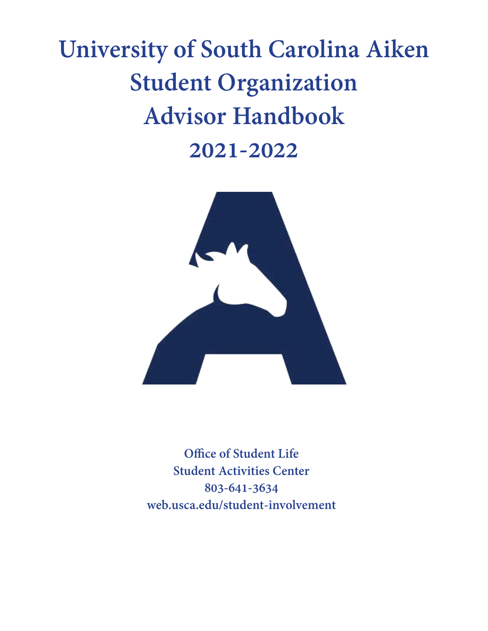# **University of South Carolina Aiken Student Organization Advisor Handbook 2021-2022**



**Office of Student Life Student Activities Center 803-641-3634 web.usca.edu/student-involvement**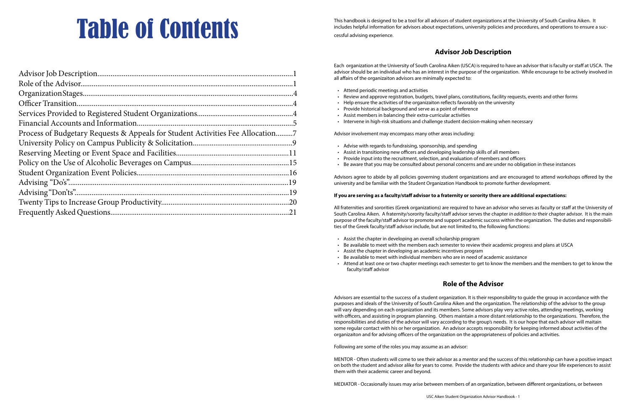| Officer Transition.                                                            |  |
|--------------------------------------------------------------------------------|--|
|                                                                                |  |
|                                                                                |  |
| Process of Budgetary Requests & Appeals for Student Activities Fee Allocation7 |  |
|                                                                                |  |
|                                                                                |  |
|                                                                                |  |
|                                                                                |  |
|                                                                                |  |
|                                                                                |  |
|                                                                                |  |
|                                                                                |  |
|                                                                                |  |

This handbook is designed to be a tool for all advisors of student organizations at the University of South Carolina Aiken. It includes helpful information for advisors about expectations, university policies and procedure includes helpful information for advisors about expectations, university policies and procedures, and operations to ensure a successful advising experience.

# **Advisor Job Description**

Each organization at the University of South Carolina Aiken (USCA) is required to have an advisor that is faculty or staff at USCA. The advisor should be an individual who has an interest in the purpose of the organization. While encourage to be actively involved in all affairs of the organizaiton advisors are minimally expected to:

- Attend periodic meetings and activities
- Review and approve registration, budgets, travel plans, constitutions, facility requests, events and other forms
- Help ensure the activities of the organizaiton reflects favorably on the university
- Provide historical background and serve as a point of reference
- Assist members in balancing their extra-curricular activities
- Intervene in high-risk situations and challenge student decision-making when necessary

Advisor involvement may encompass many other areas including:

- Advise with regards to fundraising, sponsorship, and spending
- Assist in transitioning new officers and developing leadership skills of all members
- Provide input into the recruitment, selection, and evaluation of members and officers
- Be aware that you may be consulted about personal concerns and are under no obligation in these instances

Advisors agree to abide by all policies governing student organizations and are encouraged to attend workshops offered by the university and be familiar with the Student Organization Handbook to promote further development.

#### **If you are serving as a faculty/staff advisor to a fraternity or sorority there are additional expectations:**

All fraternities and sororities (Greek organizations) are required to have an advisor who serves as faculty or staff at the University of South Carolina Aiken. A fraternity/sorority faculty/staff advisor serves the chapter *in addition to* their chapter advisor. It is the main purpose of the faculty/staff advisor to promote and support academic success within the organization. The duties and responsibilities of the Greek faculty/staff advisor include, but are not limited to, the following functions:

- Assist the chapter in developing an overall scholarship program
- Be available to meet with the members each semester to review their academic progress and plans at USCA
- Assist the chapter in developing an academic incentives program
- Be available to meet with individual members who are in need of academic assistance
- Attend at least one or two chapter meetings each semester to get to know the members and the members to get to know the faculty/staff advisor

# **Role of the Advisor**

Advisors are essential to the success of a student organization. It is their responsibility to guide the group in accordance with the purposes and ideals of the University of South Carolina Aiken and the organization. The relationship of the advisor to the group will vary depending on each organization and its members. Some advisors play very active roles, attending meetings, working with officers, and assisting in program planning. Others maintain a more distant relationship to the organizations. Therefore, the responsibilities and duties of the advisor will vary according to the group's needs. It is our hope that each advisor will maitain some regular contact with his or her organization. An advisor accepts responsibility for keeping informed about activities of the organizaiton and for advising officers of the organization on the appropriateness of policies and activities.

Following are some of the roles you may assume as an advisor:

MENTOR - Often students will come to see their advisor as a mentor and the success of this relationship can have a positive impact on both the student and advisor alike for years to come. Provide the students with advice and share your life experiences to assist them with their academic career and beyond.

MEDIATOR - Occasionally issues may arise between members of an organization, between different organizations, or between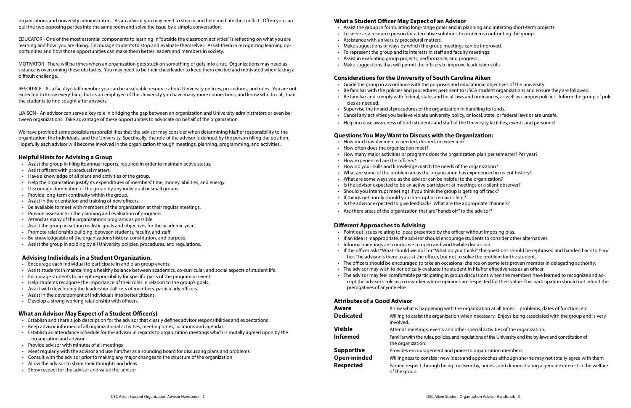organizations and university administrators. As an advisor you may need to step in and help mediate the conflict. Often you can pull the two opposing parties into the same room and solve the issue by a simple conversation.

EDUCATOR - One of the most essential components to learning in "outside the classroom activities" is reflecting on what you are learning and how you are doing. Encourage students to stop and evaluate themselves. Assist them in recognizing learning opportunities and how those opportunities can make them better leaders and members in society.

MOTIVATOR - There will be times when an organization gets stuck on something or gets into a rut. Organizations may need assistance is overcoming these obstacles. You may need to be their cheerleader to keep them excited and motivated when facing a difficult challenge.

RESOURCE - As a faculty/staff member you can be a valuable resource about University policies, procedures, and rules. You are not expected to know everything, but as an employee of the University you have many more connections, and know who to call, than the students to find sought after answers.

LIAISON - An advisor can serve a key role in bridging the gap between an organization and University administrators or even between organizations. Take advantage of these opportunities to advocate on behalf of the organization.

We have provided some possible responsibilities that the advisor may consider when determining his/her responsibility to the organization, the individuals, and the University. Specifically, the role of the advisor is defined by the person filling the position. Hopefully each advisor will become involved in the organization through meetings, planning, programming, and activities.

#### **Helpful Hints for Advising a Group**

- Establish and share a job description for the advisor that clearly defines advisor responsibilit
- Keep advisor informed of all organizational activities, meeting times, locations and agendas
- Establish an attendance schedule for the advisor in regards to organization meetings which organization and advisor
- Provide advisor with minutes of all meetings
- Meet regularly with the advisor and use him/her as a sounding board for discussing plans ard
- $\cdot$  Consult with the advisor prior to making any major changes to the structure of the organization
- Allow the advisor to share their thoughts and ideas
- Show respect for the advisor and value the advisor
- Assist the group in filing its annual reports, required in order to maintain active status.
- Assist officers with procedural matters.
- Have a knowledge of all plans and activities of the group.
- Help the organization justify its expenditures of members' time, money, abilities, and energy.
- Discourage domination of the group by any individual or small groups.
- Provide long-term continuity within the group.
- Assist in the orientation and training of new officers.
- Be available to meet with members of the organization at their regular meetings.
- Provide assistance in the planning and evaluation of programs.
- Attend as many of the organization's programs as possible.
- Assist the group in setting realistic goals and objectives for the academic year.
- Promote relationship building between students, faculty, and staff.
- Be knowledgeable of the organizations history, constitution, and purpose.
- Assist the group in abiding by all University policies, procedures, and regulations.

#### **Advising Individuals in a Student Organization.**

- Encourage each individual to participate in and plan group events.
- Assist students in maintaining a healthy balance between academics, co-curricular, and social aspects of student life.
- Encourage students to accept responsibility for specific parts of the program or event.
- Help students recognize the importance of their roles in relation to the group's goals.
- Assist with developing the leadership skill sets of members, particularly officers.
- Assist in the development of individuals into better citizens.
- Develop a strong working relationship with officers.

#### **What an Advisor May Expect of a Student Officer(s)**

#### **What a Student Officer May Expect of an Advisor**

- Assist the group in formulating long-range goals and in planning and initiating short-term projects.
- To serve as a resource person for alternative solutions to problems confronting the group.
- Assistance with university procedural matters.
- Make suggestions of ways by which the group meetings can be improved.
- To represent the group and its interests in staff and faculty meetings.
- Assist in evaluating group projects, performance, and progress.
- Make suggestions that will permit the officers to improve leadership skills.

#### **Considerations for the University of South Carolina Aiken**

• Be familiar with the policies and procedures pertinent to USCA student organizations and ensure they are followed. • Be familiar and comply with federal, state, and local laws and ordinances, as well as campus policies. Inform the group of poli-

- 
- 
- 

Aware **K**now what is happening with the organization at all times.... problems, dates of function, etc. necessary. Enjoys being associated with the group and is very

cial activities of the organization.

- Guide the group in accordance with the purposes and educational objectives of the university.
- 
- cies as needed.
- Supervise the financial procedures of the organization in handling its funds.
- Cancel any activities you believe violate university policy, or local, state, or federal laws or are unsafe.
- Help increase awareness of both students and staff of the University facilities, events and personnel.

#### **Questions You May Want to Discuss with the Organization:**

- How much involvement is needed, desired, or expected?
- How often does the organization meet?
- How many major activities or programs does the organization plan per semester? Per year?
- How experienced are the officers?
- How do your skills and knowledge match the needs of the organization?
- What are some of the problem areas the organization has experienced in recent history?
- What are some ways you as the advisor can be helpful to the organization?
- Is the advisor expected to be an active participant at meetings or a silent observer?
- Should you interrupt meetings if you think the group is getting off track?
- If things get unruly should you interrupt or remain silent?
- Is the advisor expected to give feedback? What are the appropriate channels?
- Are there areas of the organization that are "hands off" to the advisor?

#### **Different Approaches to Advising**

- Point out issues relating to ideas presented by the officer without imposing bias.
- If an idea is inappropriate, the advisor should encourage students to consider other alternatives.
- Informal meetings are conducive to open and worthwhile discussion.
- If the officer asks "What should we do?" or "What do you think?" the questions should be rephrased and handed back to him/ her. The advisor is there to assist the officer, but not to solve the problem for the student.
- The officers should be encouraged to take an occasional chance on some less proven member in delegating authority.
- The advisor may wish to periodically evaluate the student in his/her effectiveness as an officer.
- The advisor may feel comfortable participating in group discussions when the members have learned to recognize and accept the advisor's role as a co-worker whose opinions are respected for their value. This participation should not inhibit the prerogatives of anyone else.

#### **Attributes of a Good Advisor**

**Informed** Familiar with the rules, policies, and regulations of the University and the by-laws and constitution of

**Supportive in Exercice Service is a** 

pproaches although she/he may not totally agree with them hy, honest, and demonstrating a genuine interest in the welfare

|                               | Aware              | NIOW WILD IS Happening Willi life organ                              |
|-------------------------------|--------------------|----------------------------------------------------------------------|
| ies and expectations          | <b>Dedicated</b>   | Willing to assist the organization when r<br>involved.               |
| is mutally agreed upon by the | <b>Visible</b>     | Attends meetings, events and other spee                              |
|                               | <b>Informed</b>    | Familiar with the rules, policies, and regulati<br>the organization. |
| ad problems                   | <b>Supportive</b>  | Provides encouragement and praise to c                               |
| tion                          | <b>Open-minded</b> | Willingness to consider new ideas and a                              |
|                               | <b>Respected</b>   | Earned respect through being trustworth<br>of the group.             |
|                               |                    |                                                                      |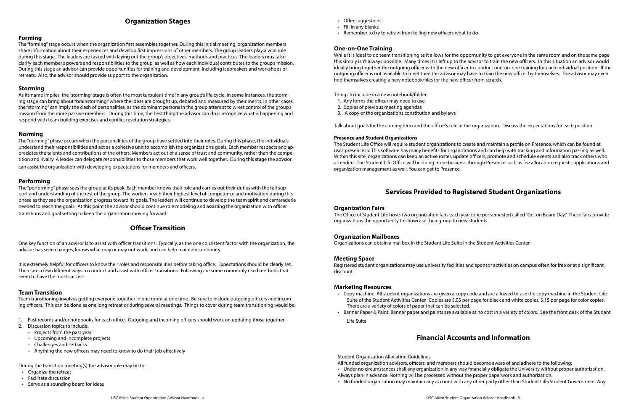# **Organization Stages**

#### **Forming**

The "forming" stage occurs when the organization first assembles together. During this initial meeting, organization members share information about their experiences and develop first impressions of other members. The group leaders play a vital role during this stage. The leaders are tasked with laying out the group's objectives, methods and practices. The leaders must also clarify each member's powers and responsibilities to the group, as well as how each individual contributes to the group's mission. During this stage an advisor can provide opportunities for training and development, including icebreakers and workshops or retreats. Also, the advisor should provide support to the organization.

#### **Storming**

As its name implies, the "storming" stage is often the most turbulent time in any group's life cycle. In some instances, the storming stage can bring about "brainstorming," where the ideas are brought up, debated and measured by their merits. In other cases, the "storming" can imply the clash of personalities, as the dominant persons in the group attempt to wrest control of the group's mission from the more passive members. During this time, the best thing the advisor can do is recognize what is happening and respond with team building exercises and conflict resolution strategies.

#### **Norming**

The "norming" phase occurs when the personalities of the group have settled into their roles. During this phase, the individuals understand their responsibilities and act as a cohesive unit to accomplish the organization's goals. Each member respects and appreciates the talents and contributions of the others. Members act out of a sense of trust and community, rather than the competition and rivalry. A leader can delegate responsibilities to those members that work well together. During this stage the advsior can assist the organization with developing expectations for members and officers.

#### **Performing**

The "performing" phase sees the group at its peak. Each member knows their role and carries out their duties with the full support and understanding of the rest of the group. The workers reach their highest level of competence and motivation during this phase as they see the organization progress toward its goals. The leaders will continue to develop the team spirit and camaraderie needed to reach the goals. At this point the advisor should continue role modeling and assisting the organization with officer transitions and goal setting to keep the organization moving forward.

# **Officer Transition**

One key function of an advisor is to assist with officer transitions. Typically, as the one consistent factor with the organization, the advisor has seen changes, knows what may or may not work, and can help maintain continuity.

It is extremely helpful for officers to know their roles and responsibilities before taking office. Expectations should be clearly set. There are a few different ways to conduct and assist with officer transitions. Following are some commonly used methods that seem to have the most success.

#### **Team Transition**

Team transitioning involves getting everyone together in one room at one time. Be sure to include outgoing officers and incoming officers. This can be done as one long retreat or during several meetings. Things to cover during team transitioning would be:

- 1. Past records and/or notebooks for each office. Outgoing and incoming officers should work on updating those together
- 2. Discussion topics to include:
	- Projects from the past year
	- Upcoming and incomplete projects
	- Challenges and setbacks
	- Anything the new officers may need to know to do their job effectively

During the transition meeting(s) the advisor role may be to:

- Organize the retreat
- Facilitate discussion
- Serve as a sounding board for ideas

- Offer suggestions
- Fill in any blanks
- Remember to try to refrain from telling new officers what to do

#### **One-on-One Training**

While it is ideal to do team transitioning as it allows for the oppornunity to get everyone in the same room and on the same page this simply isn't always possible. Many times it is left up to the advisor to train the new officers. In this situation an advisor would ideally bring together the outgoing officer with the new officer to conduct one-on-one training for each individual position. If the outgoing officer is not available to meet then the advisor may have to train the new officer by themselves. The advisor may even find themselves creating a new notebook/files for the new officer from scratch.

Things to include in a new notebook/folder:

- 1. Any forms the officer may need to use
- 2. Copies of previous meeting agendas
- 3. A copy of the organizations constitution and bylaws

Talk about goals for the coming term and the officer's role in the organization. Discuss the expectations for each position.

#### **Presence and Student Organizations**

The Student Life Office will require student organizations to create and maintain a profile on Presence, which can be found at usca.presence.io. This software has many benefits for organizations and can help with tracking and information passing as well. Within this site, organizations can keep an active roster, update officers, promote and schedule events and also track others who attended. The Student Life Office will be doing more business through Presence such as fee allocation requests, applications and organization management as well. You can get to Presence

# **Services Provided to Registered Student Organizations**

#### **Organization Fairs**

The Office of Student Life hosts two organization fairs each year (one per semester) called "Get on Board Day." These fairs provide organizations the opportunity to showcase their group to new students.

#### **Organization Mailboxes**

Organizations can obtain a mailbox in the Student Life Suite in the Student Activities Center

#### **Meeting Space**

Registered student organizations may use university facilities and sponsor activities on campus often for free or at a significant discount.

#### **Marketing Resources**

• Copy machine: All student organizations are given a copy code and are allowed to use the copy machine in the Student Life Suite of the Student Activities Center. Copies are \$.05 per page for black and white copies, \$.15 per page for color copies.

- There are a variety of colors of paper that can be selected.
- 

• Banner Paper & Paint: Banner paper and paints are available at no cost in a variety of colors. See the front desk of the Student

Life Suite

# **Financial Accounts and Information**

Student Organization Allocation Guidelines

- All funded organization advisors, officers, and members should become aware of and adhere to the following:
- 
- Always plan in advance. Nothing will be processed without the proper paperwork and authorization.
- 

• Under no circumstances shall any organization in any way financially obligate the University without proper authorization.

• No funded organization may maintain any account with any other party other than Student Life/Student Government. Any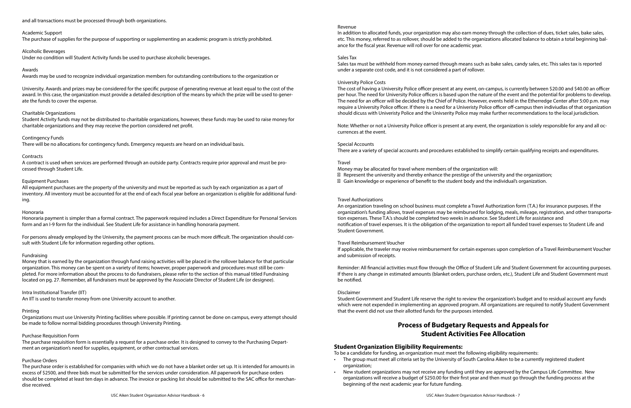#### and all transactions must be processed through both organizations.

#### Academic Support

The purchase of supplies for the purpose of supporting or supplementing an academic program is strictly prohibited.

#### Alcoholic Beverages

Under no condition will Student Activity funds be used to purchase alcoholic beverages.

#### Awards

Awards may be used to recognize individual organization members for outstanding contributions to the organization or

University. Awards and prizes may be considered for the specific purpose of generating revenue at least equal to the cost of the award. In this case, the organization must provide a detailed description of the means by which the prize will be used to generate the funds to cover the expense.

#### Charitable Organizations

Student Activity funds may not be distributed to charitable organizations, however, these funds may be used to raise money for charitable organizations and they may receive the portion considered net profit.

### Contingency Funds

There will be no allocations for contingency funds. Emergency requests are heard on an individual basis.

#### Contracts

A contract is used when services are performed through an outside party. Contracts require prior approval and must be processed through Student Life.

### Equipment Purchases

All equipment purchases are the property of the university and must be reported as such by each organization as a part of inventory. All inventory must be accounted for at the end of each fiscal year before an organization is eligible for additional funding.

#### Honoraria

Honoraria payment is simpler than a formal contract. The paperwork required includes a Direct Expenditure for Personal Services form and an I-9 form for the individual. See Student Life for assistance in handling honoraria payment.

For persons already employed by the University, the payment process can be much more difficult. The organization should consult with Student Life for information regarding other options.

#### Fundraising

Money that is earned by the organization through fund raising activities will be placed in the rollover balance for that particular organization. This money can be spent on a variety of items; however, proper paperwork and procedures must still be completed. For more information about the process to do fundraisers, please refer to the section of this manual titled Fundraising located on pg. 27. Remember, all fundraisers must be approved by the Associate Director of Student Life (or designee).

#### Intra Institutional Transfer (IIT)

An IIT is used to transfer money from one University account to another.

#### Printing

Organizations must use University Printing facilities where possible. If printing cannot be done on campus, every attempt should be made to follow normal bidding procedures through University Printing.

#### Purchase Requisition Form

The purchase requisition form is essentially a request for a purchase order. It is designed to convey to the Purchasing Department an organization's need for supplies, equipment, or other contractual services.

#### Purchase Orders

The purchase order is established for companies with which we do not have a blanket order set up. It is intended for amounts in excess of \$2500, and three bids must be submitted for the services under consideration. All paperwork for purchase orders should be completed at least ten days in advance. The invoice or packing list should be submitted to the SAC office for merchandise received.

- 
- 

In addition to allocated funds, your organization may also earn money through the collection of dues, ticket sales, bake sales, etc. This money, referred to as rollover, should be added to the organizations allocated balance to obtain a total beginning balance for the fiscal year. Revenue will roll over for one academic year.

### Sales Tax

Sales tax must be withheld from money earned through means such as bake sales, candy sales, etc. This sales tax is reported under a separate cost code, and it is not considered a part of rollover.

#### University Police Costs

The cost of having a University Police officer present at any event, on-campus, is currently between \$20.00 and \$40.00 an officer per hour. The need for University Police officers is based upon the nature of the event and the potential for problems to develop. The need for an officer will be decided by the Chief of Police. However, events held in the Etherredge Center after 5:00 p.m. may require a University Police officer. If there is a need for a Univeristy Police officer off-campus then indiviudlas of that organization should dicuss with Univeristy Police and the Univserity Police may make further recommendations to the local jurisdiction.

Note: Whether or not a University Police officer is present at any event, the organization is solely responsible for any and all occurrences at the event.

#### Special Accounts

There are a variety of special accounts and procedures established to simplify certain qualifying receipts and expenditures.

#### Travel

Money may be allocated for travel where members of the organization will: Represent the university and thereby enhance the prestige of the university and the organization; Gain knowledge or experience of benefit to the student body and the individual's organization.

#### Travel Authorizations

An organization traveling on school business must complete a Travel Authorization form (T.A.) for insurance purposes. If the organization's funding allows, travel expenses may be reimbursed for lodging, meals, mileage, registration, and other transportation expenses. These T.A.'s should be completed two weeks in advance. See Student Life for assistance and notification of travel expenses. It is the obligation of the organization to report all funded travel expenses to Student Life and Student Government.

#### Travel Reimbursement Voucher

If applicable, the traveler may receive reimbursement for certain expenses upon completion of a Travel Reimbursement Voucher and submission of receipts.

Reminder: All financial activities must flow through the Office of Student Life and Student Government for accounting purposes. If there is any change in estimated amounts (blanket orders, purchase orders, etc.), Student Life and Student Government must be notified.

#### Disclaimer

Student Government and Student Life reserve the right to review the organization's budget and to residual account any funds which were not expended in implementing an approved program. All organizations are required to notify Student Government that the event did not use their allotted funds for the purposes intended.

# **Process of Budgetary Requests and Appeals for Student Activities Fee Allocation**

#### **Student Organization Eligibility Requirements:**

To be a candidate for funding, an organization must meet the following eligibility requirements: • The group must meet all criteria set by the University of South Carolina Aiken to be a currently registered student

• New student organizations may not receive any funding until they are approved by the Campus Life Committee. New organizations will receive a budget of \$250.00 for their first year and then must go through the funding process at the

- organization;
- beginning of the next academic year for future funding.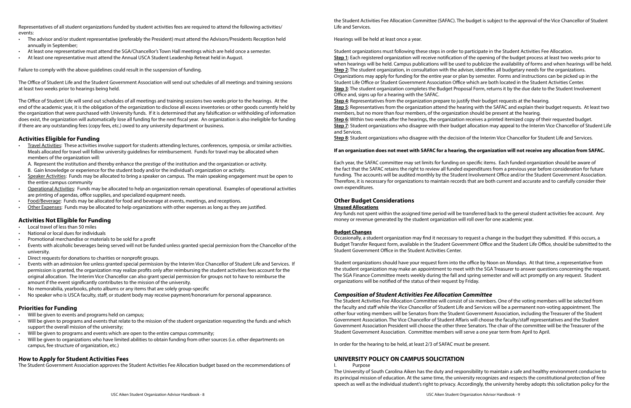Representatives of all student organizations funded by student activities fees are required to attend the following activities/ events:

- The advisor and/or student representative (preferably the President) must attend the Advisors/Presidents Reception held annually in September;
- At least one representative must attend the SGA/Chancellor's Town Hall meetings which are held once a semester.
- At least one representative must attend the Annual USCA Student Leadership Retreat held in August.

Failure to comply with the above guidelines could result in the suspension of funding.

The Office of Student Life and the Student Government Association will send out schedules of all meetings and training sessions at least two weeks prior to hearings being held.

The Office of Student Life will send out schedules of all meetings and training sessions two weeks prior to the hearings. At the end of the academic year, it is the obligation of the organization to disclose all excess inventories or other goods currently held by the organization that were purchased with University funds. If it is determined that any falsification or withholding of information does exist, the organization will automatically lose all funding for the next fiscal year. An organization is also ineligible for funding if there are any outstanding fees (copy fees, etc.) owed to any university department or business.

### **Activities Eligible for Funding**

• Travel Activities: These activities involve support for students attending lectures, conferences, symposia, or similar activities. Meals allocated for travel will follow university guidelines for reimbursement. Funds for travel may be allocated when members of the organization will:

A. Represent the institution and thereby enhance the prestige of the institution and the organization or activity.

- B. Gain knowledge or experience for the student body and/or the individual's organization or activity.
- Speaker Activities: Funds may be allocated to bring a speaker on campus. The main speaking engagement must be open to the entire campus community
- Operational Activities: Funds may be allocated to help an organization remain operational. Examples of operational activities are printing of agendas, office supplies, and specialized equipment needs.
- Food/Beverage: Funds may be allocated for food and beverage at events, meetings, and receptions.
- Other Expenses: Funds may be allocated to help organizations with other expenses as long as they are justified.

#### **Activities Not Eligible for Funding**

- Local travel of less than 50 miles
- National or local dues for individuals
- Promotional merchandise or materials to be sold for a profit
- Events with alcoholic beverages being served will not be funded unless granted special permission from the Chancellor of the university.
- Direct requests for donations to charities or nonprofit groups.
- Events with an admission fee unless granted special permission by the Interim Vice Chancellor of Student Life and Services. If permission is granted, the organization may realize profits only after reimbursing the student activities fees account for the original allocation. The Interim Vice Chancellor can also grant special permission for groups not to have to reimburse the amount if the event significantly contributes to the mission of the university.
- No memorabilia, yearbooks, photo albums or any items that are solely group-specific
- No speaker who is USCA faculty, staff, or student body may receive payment/honorarium for personal appearance.

#### **Priorities for Funding**

- Will be given to events and programs held on campus;
- Will be given to programs and events that relate to the mission of the student organization requesting the funds and which support the overall mission of the university;
- Will be given to programs and events which are open to the entire campus community;
- Will be given to organizations who have limited abilities to obtain funding from other sources (i.e. other departments on campus, fee structure of organization, etc.)

#### **How to Apply for Student Activities Fees**

The Student Government Association approves the Student Activities Fee Allocation budget based on the recommendations of

Life and Services.

Hearings will be held at least once a year.

Student organizations must following these steps in order to participate in the Student Activities Fee Allocation. **Step 1**: Each registered organization will receive notification of the opening of the budget process at least two weeks prior to when hearings will be held. Campus publications will be used to publicize the availability of forms and when hearings will be held. **Step 2**: The student organization, in consultation with the adviser, identifies all budgetary needs for the organizations. Organizations may apply for funding for the entire year or plan by semester. Forms and instructions can be picked up in the Student Life Office or Student Government Association Office which are both located in the Student Activities Center. **Step 3**: The student organization completes the Budget Proposal Form, returns it by the due date to the Student Involvement Office and, signs up for a hearing with the SAFAC.

**Step 4**: Representatives from the organization prepare to justify their budget requests at the hearing. members, but no more than four members, of the organization should be present at the hearing. **Step 6**: Within two weeks after the hearings, the organization receives a printed itemized copy of their requested budget. and Services.

- 
- 
- 
- 
- 
- 
- **Step 5**: Representatives from the organization attend the hearing with the SAFAC and explain their budget requests. At least two
	-
- **Step 7**: Student organizations who disagree with their budget allocation may appeal to the Interim Vice Chancellor of Student Life

**Step 8**: Student organizations who disagree with the decision of the Interim Vice Chancellor for Student Life and Services.

### **If an organization does not meet with SAFAC for a hearing, the organization will not receive any allocation from SAFAC.**

Each year, the SAFAC committee may set limits for funding on specific items. Each funded organization should be aware of the fact that the SAFAC retains the right to review all funded expenditures from a previous year before consideration for future funding. The accounts will be audited monthly by the Student Involvement Office and/or the Student Government Association. Therefore, it is necessary for organizations to maintain records that are both current and accurate and to carefully consider their own expenditures.

#### **Other Budget Considerations Unused Allocations**

Any funds not spent within the assigned time period will be transferred back to the general student activities fee account. Any money or revenue generated by the student organization will roll over for one academic year.

#### **Budget Changes**

Occasionally, a student organization may find it necessary to request a change in the budget they submitted. If this occurs, a Budget Transfer Request form, available in the Student Government Office and the Student Life Office, should be submitted to the Student Government Office in the Student Activities Center.

Student organizations should have your request form into the office by Noon on Mondays. At that time, a representative from the student organization may make an appointment to meet with the SGA Treasurer to answer questions concerning the request. The SGA Finance Committee meets weekly during the fall and spring semester and will act promptly on any request. Student organizations will be notified of the status of their request by Friday.

### *Composition of Student Activities Fee Allocation Committee*

The Student Activities Fee Allocation Committee will consist of six members. One of the voting members will be selected from the faculty and staff while the Vice Chancellor of Student Life and Services will be a permanent non-voting appointment. The other four voting members will be Senators from the Student Government Association, including the Treasurer of the Student Government Association. The Vice Chancellor of Student Affaris will choose the faculty/staff representatives and the Student Government Association President will choose the other three Senators. The chair of the committee will be the Treasurer of the Student Government Association. Committee members will serve a one year term from April to April.

In order for the hearing to be held, at least 2/3 of SAFAC must be present.

#### **UNIVERSITY POLICY ON CAMPUS SOLICITATION**

Purpose

The University of South Carolina Aiken has the duty and responsibility to maintain a safe and healthy environment conducive to its principal mission of education. At the same time, the university recognizes and respects the constitutional protection of free speech as well as the individual student's right to privacy. Accordingly, the university hereby adopts this solicitation policy for the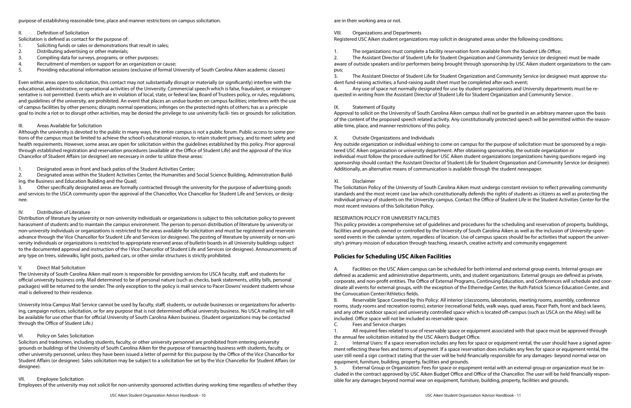purpose of establishing reasonable time, place and manner restrictions on campus solicitation.

- II. Definition of Solicitation
- Solicitation is defined as contact for the purpose of:
- 1. Soliciting funds or sales or demonstrations that result in sales;
- 2. Distributing advertising or other materials;
- 3. Compiling data for surveys, programs, or other purposes;
- 4. Recruitment of members or support for an organization or cause;
- 5. Providing educational information sessions (exclusive of formal University of South Carolina Aiken academic classes)

Even within areas open to solicitation, this contact may not substantially disrupt or materially (or significantly) interfere with the educational, administrative, or operational activities of the University. Commercial speech which is false, fraudulent, or misrepresentative is not permitted. Events which are in violation of local, state, or federal law, Board of Trustees policy, or rules, regulations, and guidelines of the university, are prohibited. An event that places an undue burden on campus facilities; interferes with the use of campus facilities by other persons; disrupts normal operations; infringes on the protected rights of others; has as a principle goal to incite a riot or to disrupt other activities, may be denied the privilege to use university facili- ties or grounds for solicitation.

#### III. Areas Available for Solicitation

Although the university is devoted to the public in many ways, the entire campus is not a public forum. Public access to some portions of the campus must be limited to achieve the school's educational mission, to retain student privacy, and to meet safety and health requirements. However, some areas are open for solicitation within the guidelines established by this policy. Prior approval through established registration and reservation procedures (available at the Office of Student Life) and the approval of the Vice Chancellor of Student Affairs (or designee) are necessary in order to utilize these areas:

1. Designated areas in front and back patios of the Student Activities Center;

2. Designated areas within the Student Activities Center, the Humanities and Social Science Building, Administration Building, the Business and Education Building and the Quad;

3. Other specifically designated areas are formally contracted through the university for the purpose of advertising goods and services to the USCA community upon the approval of the Chancellor, Vice Chancellor for Student Life and Services, or designee.

#### IV. Distribution of Literature

Distribution of literature by university or non-university individuals or organizations is subject to this solicitation policy to prevent harassment of students and to maintain the campus environment. The person to person distribution of literature by university or non-university individuals or organizations is restricted to the areas available for solicitation and must be registered and reservein advance through the Vice Chancellor for Student Life and Services (or designee). The posting of literature by university or non-university individuals or organizations is restricted to appropriate reserved areas of bulletin boards in all University buildings subject to the documented approval and instruction of the I Vice Chancellor of Student Life and Services (or designee). Announcements of any type on trees, sidewalks, light posts, parked cars, or other similar structures is strictly prohibited.

#### V. Direct Mail Solicitation

The University of South Carolina Aiken mail room is responsible for providing services for USCA faculty, staff, and students for official university business only. Mail determined to be of personal nature (such as checks, bank statements, utility bills, personal packages) will be returned to the sender. The only exception to the policy is mail service to Pacer Downs' resident students whose mail is delivered to their residence.

University Intra-Campus Mail Service cannot be used by faculty, staff, students, or outside businesses or organizations for advertising, campaign notices, solicitation, or for any purpose that is not determined official university business. No USCA mailing list will be available for use other than for official University of South Carolina Aiken business. (Student organizations may be contacted through the Office of Student Life.)

#### VI. Policy on Sales Solicitation

Solicitors and tradesmen, including students, faculty, or other university personnel are prohibited from entering university grounds or buildings of the University of South Carolina Aiken for the purpose of transacting business with students, faculty, or other university personnel, unless they have been issued a letter of permit for this purpose by the Office of the Vice Chancellor for Student Affairs (or designee). Sales solicitation may be subject to a solicitation fee set by the Vice Chancellor for Student Affairs (or designee).

#### VII. Employee Solicitation

Employees of the university may not solicit for non-university sponsored activities during working time regardless of whether they

are in their working area or not.

#### VIII. Organizations and Departments Registered USC Aiken student organizations may solicit in designated areas under the following conditions:

1. The organizations must complete a facility reservation form available from the Student Life Office;

pus;

- 
- 2. The Assistant Director of Student Life for Student Organization and Community Service (or designee) must be made aware of outside speakers and/or performers being brought through sponsorship by USC Aiken student organizations to the cam-
- 3. The Assistant Director of Student Life for Student Organization and Community Service (or designee) must approve stu-
- 4. Any use of space not normally designated for use by student organizations and University departments must be re-

dent fund-raising activities; a fund-raising audit sheet must be completed after each event; quested in writing from the Assistant Director of Student Life for Student Organization and Community Service .

#### IX. Statement of Equity

Approval to solicit on the University of South Carolina Aiken campus shall not be granted in an arbitrary manner upon the basis of the content of the proposed speech related activity. Any constitutionally protected speech will be permitted within the reasonable time, place, and manner restrictions of this policy.

#### X. Outside Organizations and Individuals

Any outside organization or individual wishing to come on campus for the purpose of solicitation must be sponsored by a registered USC Aiken organization or university department. After obtaining sponsorship, the outside organization or individual must follow the procedure outlined for USC Aiken student organizations (organizations having questions regard- ing sponsorship should contact the Assistant Director of Student Life for Student Organization and Community Service (or designee). Additionally, an alternative means of communication is available through the student newspaper.

#### XI. Disclaimer

The Solicitation Policy of the University of South Carolina Aiken must undergo constant revision to reflect prevailing community standards and the most recent case law which constitutionally defends the rights of students as citizens as well as protecting the individual privacy of students on the University campus. Contact the Office of Student Life in the Student Activities Center for the most recent revisions of this Solicitation Policy.

#### RESERVATION POLICY FOR UNIVERSITY FACILITIES

This policy provides a comprehensive set of guidelines and procedures for the scheduling and reservation of property, buildings, facilities and grounds owned or controlled by the University of South Carolina Aiken as well as the inclusion of University-sponsored events in the calendar system, regardless of location. Use of campus spaces should be for activities that support the university's primary mission of education through teaching, research, creative activity and community engagement

#### **Policies for Scheduling USC Aiken Facilities**

A. Facilities on the USC Aiken campus can be scheduled for both internal and external group events. Internal groups are defined as academic and administrative departments, units, and student organizations. External groups are defined as private, corporate, and non-profit entities. The Office of External Programs, Continuing Education, and Conferences will schedule and coordinate all events for external groups, with the exception of the Etherredge Center, the Ruth Patrick Science Education Center, and the Convocation Center/Athletics fields.

B. Reservable Space Covered by this Policy: All interior (classrooms, laboratories, meeting rooms, assembly, conference rooms, study rooms and recreation rooms), exterior (recreational fields, walk ways, quad areas, Pacer Path, front and back lawns, and any other outdoor space) and university controlled space which is located off-campus (such as USCA on the Alley) will be included. Office space will not be included as reservable space.

C. Fees and Service charges

1. All required fees related to use of reservable space or equipment associated with that space must be approved through the annual fee solicitation initiated by the USC Aiken's Budget Office.

2. Internal Users: If a space reservation includes any fees for space or equipment rental, the user should have a signed agreement reflecting these fees and terms of payment. If a space reservation does includes any fees for space or equipment rental, the user still need a sign contract stating that the user will be held financially responsible for any damages- beyond normal wear on equipment, furniture, building, property, facilities and grounds.

3. External Group or Organization: Fees for space or equipment rental with an external group or organization must be included in the contract approved by USC Aiken Budget Office and Office of the Chancellor. The user will be held financially responsible for any damages beyond normal wear on equipment, furniture, building, property, facilities and grounds.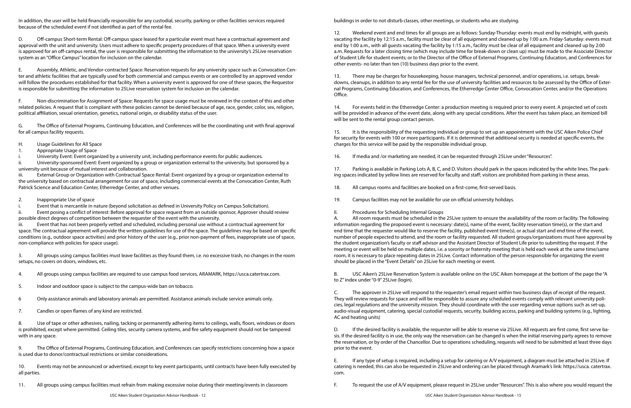In addition, the user will be held financially responsible for any custodial, security, parking or other facilities services required because of the scheduled event if not identified as part of the rental fee.

D. Off-campus Short-term Rental: Off-campus space leased for a particular event must have a contractual agreement and approval with the unit and university. Users must adhere to specific property procedures of that space. When a university event is approved for an off-campus rental, the user is responsible for submitting the information to the university's 25Live reservation system as an "Office Campus" location for inclusion on the calendar.

E. Assembly, Athletic, and Vendor-contracted Space: Reservation requests for any university space such as Convocation Center and athletic facilities that are typically used for both commercial and campus events or are controlled by an approved vendor will follow the procedures established for that facility. When a university event is approved for one of these spaces, the Requestor is responsible for submitting the information to 25Live reservation system for inclusion on the calendar.

F. Non-discrimination for Assignment of Space: Requests for space usage must be reviewed in the context of this and other related policies. A request that is compliant with these policies cannot be denied because of age, race, gender, color, sex, religion, political affiliation, sexual orientation, genetics, national origin, or disability status of the user.

G. The Office of External Programs, Continuing Education, and Conferences will be the coordinating unit with final approval for all campus facility requests.

- H. Usage Guidelines for All Space
- 1. Appropriate Usage of Space
- i. University Event: Event organized by a university unit, including performance events for public audiences.

ii. University-sponsored Event: Event organized by a group or organization external to the university, but sponsored by a university unit because of mutual interest and collaboration.

iii. External Group or Organization with Contractual Space Rental: Event organized by a group or organization external to the university based on contractual arrangement for use of space, including commercial events at the Convocation Center, Ruth Patrick Science and Education Center, Etherredge Center, and other venues.

2. Inappropriate Use of space

i. Event that is mercantile in nature (beyond solicitation as defined in University Policy on Campus Solicitation).

ii. Event posing a conflict of interest: Before approval for space request from an outside sponsor, Approver should review possible direct degrees of competition between the requester of the event with the university.

iii. Event that has not been properly vetted and scheduled, including personal use without a contractual agreement for space. The contractual agreement will provide the written guidelines for use of the space. The guidelines may be based on specific conditions (e.g., outdoor space activities) and prior history of the user (e.g., prior non-payment of fees, inappropriate use of space, non-compliance with policies for space usage).

3. All groups using campus facilities must leave facilities as they found them, i.e. no excessive trash, no changes in the room setups, no covers on doors, windows, etc.

4. All groups using campus facilities are required to use campus food services, ARAMARK, https://usca.catertrax.com.

- 5. Indoor and outdoor space is subject to the campus-wide ban on tobacco.
- 6 Only assistance animals and laboratory animals are permitted. Assistance animals include service animals only.
- 7. Candles or open flames of any kind are restricted.

8. Use of tape or other adhesives, nailing, tacking or permanently adhering items to ceilings, walls, floors, windows or doors is prohibited, except where permitted. Ceiling tiles, security camera systems, and fire safety equipment should not be tampered with in any space.

9. The Office of External Programs, Continuing Education, and Conferences can specify restrictions concerning how a space is used due to donor/contractual restrictions or similar considerations.

10. Events may not be announced or advertised, except to key event participants, until contracts have been fully executed by all parties.

11. All groups using campus facilities must refrain from making excessive noise during their meeting/events in classroom

buildings in order to not disturb classes, other meetings, or students who are studying.

12. Weekend event and end times for all groups are as follows: Sunday-Thursday: events must end by midnight, with guests vacating the facility by 12:15 a.m., facility must be clear of all equipment and cleaned up by 1:00 a.m. Friday-Saturday: events must end by 1:00 a.m., with all guests vacating the facility by 1:15 a.m., facility must be clear of all equipment and cleaned up by 2:00 a.m. Requests for a later closing time (which may include time for break-down or clean up) must be made to the Associate Director of Student Life for student events; or to the Director of the Office of External Programs, Continuing Education, and Conferences for other events- no later than ten (10) business days prior to the event.

13. There may be charges for housekeeping, house managers, technical personnel, and/or operations, i.e. setups, breakdowns, cleanups, in addition to any rental fee for the use of university facilities and resources to be assessed by the Office of External Programs, Continuing Education, and Conferences, the Etherredge Center Office, Convocation Center, and/or the Operations Office.

14. For events held in the Etherredge Center: a production meeting is required prior to every event. A projected set of costs will be provided in advance of the event date, along with any special conditions. After the event has taken place, an itemized bill will be sent to the rental group contact person.

15. It is the responsibility of the requesting individual or group to set up an appointment with the USC Aiken Police Chief for security for events with 100 or more participants. If it is determined that additional security is needed at specific events, the charges for this service will be paid by the responsible individual group.

16. If media and /or marketing are needed, it can be requested through 25Live under "Resources".

17. Parking is available in Parking Lots A, B, C, and D. Visitors should park in the spaces indicated by the white lines. The parking spaces indicated by yellow lines are reserved for faculty and staff; visitors are prohibited from parking in these areas.

18. All campus rooms and facilities are booked on a first-come, first-served basis.

19. Campus facilities may not be available for use on official university holidays.

II. Procedures for Scheduling Internal Groups

A. All room requests must be scheduled in the 25Live system to ensure the availability of the room or facility. The following information regarding the proposed event is necessary: date(s), name of the event, facility reservation time(s), or the start and end time that the requester would like to reserve the facility, published event time(s), or actual start and end time of the event, number of people expected to attend, and the room or facility requested. All student groups/organizations must have approval by the student organization's faculty or staff advisor and the Assistant Director of Student Life prior to submitting the request. If the meeting or event will be held on multiple dates, i.e. a sorority or fraternity meeting that is held each week at the same time/same room, it is necessary to place repeating dates in 25Live. Contact information of the person responsible for organizing the event should be placed in the "Event Details" on 25Live for each meeting or event.

B. USC Aiken's 25Live Reservation System is available online on the USC Aiken homepage at the bottom of the page the "A to Z" index under "0-9" 25Live (login).

C. The approver in 25Live will respond to the requester's email request within two business days of receipt of the request. They will review requests for space and will be responsible to assure any scheduled events comply with relevant university policies, legal regulations and the university mission. They should coordinate with the user regarding venue options such as set-up, audio-visual equipment, catering, special custodial requests, security, building access, parking and building systems (e.g., lighting, AC and heating units)

D. If the desired facility is available, the requester will be able to reserve via 25Live. All requests are first come, first serve basis. If the desired facility is in use, the only way the reservation can be changed is when the initial reserving party agrees to remove the reservation, or by order of the Chancellor. Due to operations scheduling, requests will need to be submitted at least three days prior to the event.

E. If any type of setup is required, including a setup for catering or A/V equipment, a diagram must be attached in 25Live. If catering is needed, this can also be requested in 25Live and ordering can be placed through Aramark's link: https://usca. catertrax. com.

F. To request the use of A/V equipment, please request in 25Live under "Resources". This is also where you would request the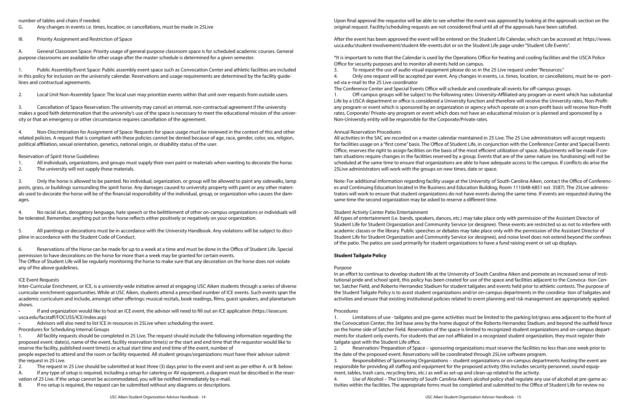number of tables and chairs if needed.

G. Any changes in events i.e. times, location, or cancellations, must be made in 25Live

III. Priority Assignment and Restriction of Space

A. General Classroom Space: Priority usage of general purpose classroom space is for scheduled academic courses. General purpose classrooms are available for other usage after the master schedule is determined for a given semester.

1. Public Assembly/Event Space: Public assembly event space such as Convocation Center and athletic facilities are included in this policy for inclusion on the university calendar. Reservations and usage requirements are determined by the facility guidelines and contractual agreements.

2. Local Unit Non-Assembly Space: The local user may prioritize events within that unit over requests from outside users.

3. Cancellation of Space Reservation: The university may cancel an internal, non-contractual agreement if the university makes a good faith determination that the university's use of the space is necessary to meet the educational mission of the university or that an emergency or other circumstance requires cancellation of the agreement.

4. Non-Discrimination for Assignment of Space: Requests for space usage must be reviewed in the context of this and other related policies. A request that is compliant with these policies cannot be denied because of age, race, gender, color, sex, religion, political affiliation, sexual orientation, genetics, national origin, or disability status of the user.

Reservation of Spirit Horse Guidelines

1. All individuals, organizations, and groups must supply their own paint or materials when wanting to decorate the horse.

2. The university will not supply these materials.

3. Only the horse is allowed to be painted. No individual, organization, or group will be allowed to paint any sidewalks, lamp posts, grass, or buildings surrounding the spirit horse. Any damages caused to university property with paint or any other materials used to decorate the horse will be of the financial responsibility of the individual, group, or organization who causes the damages.

4. No racial slurs, derogatory language, hate speech or the belittlement of other on-campus organizations or individuals will be tolerated. Remember, anything put on the horse reflects either positively or negatively on your organization.

5. All paintings or decorations must be in accordance with the University Handbook. Any violations will be subject to discipline in accordance with the Student Code of Conduct.

6. Reservations of the Horse can be made for up to a week at a time and must be done in the Office of Student Life. Special permission to have decorations on the horse for more than a week may be granted for certain events. The Office of Student Life will be regularly monitoring the horse to make sure that any decoration on the horse does not violate any of the above guidelines.

#### ICE Event Requests

Inter-Curricular Enrichment, or ICE, is a university-wide initiative aimed at engaging USC Aiken students through a series of diverse curricular enrichment opportunities. While at USC Aiken, students attend a prescribed number of ICE events. Such events span the academic curriculum and include, amongst other offerings: musical recitals, book readings, films, guest speakers, and planetarium shows.

• If and organization would like to host an ICE event, the advisor will need to fill out an ICE application (https://iesecure. usca.edu/facstaff/FOCUSS/ICE/index.asp)

• Advisors will also need to list ICE in resources in 25Live when scheduling the event.

Procedures for Scheduling Internal Groups

1. All facility requests should be completed in 25 Live. The request should include the following information regarding the proposed event: date(s), name of the event, facility reservation time(s) or the start and end time that the requestor would like to reserve the facility, published event time(s) or actual start time and end time of the event, number of

people expected to attend and the room or facility requested. All student groups/organizations must have their advisor submit the request in 25 Live.

2. The request in 25 Live should be submitted at least three (3) days prior to the event and sent as per either A. or B. below:

A. If any type of setup is required, including a setup for catering or AV equipment, a diagram must be described in the reservation of 25 Live. If the setup cannot be accommodated, you will be notified immediately by e-mail.

B. If no setup is required, the request can be submitted without any diagrams or descriptions.

Upon final approval the requestor will be able to see whether the event was approved by looking at the approvals section on the original request. Facility/scheduling requests are not considered final until all of the approvals have been satisfied.

After the event has been approved the event will be entered on the Student Life Calendar, which can be accessed at: https://www. usca.edu/student-involvement/student-life-events.dot or on the Student Life page under "Student Life Events".

\*It is important to note that the Calendar is used by the Operations Office for heating and cooling facilities and the USCA Police Office for security purposes and to monitor all events held on campus.

3. To request the use of audio visual equipment please do so in the 25 Live request under "Resources." 4. Only one request will be accepted per event. Any changes in events, i.e. times, location, or cancellations, must be re- ported via e-mail to the 25 Live coordinator

The Conference Center and Special Events Office will schedule and coordinate all events for off-campus groups.

1. Off-campus groups will be subject to the following rates: University-Affiliated-any program or event which has substantial Life by a USCA department or office is considered a University function and therefore will receive the University rates, Non-Profitany program or event which is sponsored by an organization or agency which operate on a non-profit basis will receive Non-Profit rates, Corporate/ Private-any program or event which does not have an educational mission or is planned and sponsored by a Non-University entity will be responsible for the Corporate/Private rates.

#### Annual Reservation Procedures

All activities in the SAC are recorded on a master calendar maintained in 25 Live. The 25 Live administrators will accept requests for facilities usage on a "first come" basis. The Office of Student Life, in conjunction with the Conference Center and Special Events Office, reserves the right to assign facilities on the basis of the most efficient utilization of space. Adjustments will be made if certain situations require changes in the facilities reserved by a group. Events that are of the same nature (ex. fundraising) will not be scheduled at the same time to ensure that organizations are able to have adequate access to the campus. If conflicts do arise the 25Live administrators will work with the groups on new times, date or space.

Note: For additional information regarding facility usage at the University of South Carolina Aiken, contact the Office of Conferences and Continuing Education located in the Business and Education Building, Room 111(648-6851 ext. 3587). The 25Live administrators will work to ensure that student organizations do not have events during the same time. If events are requested during the same time the second organization may be asked to reserve a different time.

#### Student Activity Center Patio Entertainment

All types of entertainment (i.e. bands, speakers, dances, etc.) may take place only with permission of the Assistant Director of Student Life for Student Organization and Community Service (or designee). These events are restricted so as not to interfere with academic classes or the library. Public speeches or debates may take place only with the permission of the Assistant Director of Student Life for Student Organization and Community Service (or designee), and noise level does not extend beyond the confines of the patio. The patios are used primarily for student organizations to have a fund raising event or set up displays.

#### **Student Tailgate Policy**

#### Purpose

In an effort to continue to develop student life at the University of South Carolina Aiken and promote an increased sense of institutional pride and school spirit, this policy has been created for use of the space and facilities adjacent to the Convoca- tion Center, Satcher Field, and Roberto Hernandez Stadium for student tailgates and events held prior to athletic contests. The purpose of the Student Tailgate Policy is to assist student organizations and/or on-campus departments in the coordina- tion of tailgates and activities and ensure that existing institutional policies related to event planning and risk management are appropriately applied.

#### Procedures

1. Limitations of use - tailgates and pre-game activities must be limited to the parking lot/grass area adjacent to the front of the Convocation Center, the 3rd base area by the home dugout of the Roberto Hernandez Stadium, and beyond the outfield fence on the home side of Satcher Field. Reservation of the space is limited to recognized student organizations and on-campus departments for student-only events. For students that are not affiliated in a recognized student organization, they must register their tailgate spot with the Student Life office.

2. Reservation/ Preparation of Space – sponsoring organizations must reserve the facilities no less than one week prior to the date of the proposed event. Reservations will be coordinated through 25Live software program.

3. Responsibilities of Sponsoring Organizations – student organizations or on-campus departments hosting the event are responsible for providing all staffing and equipment for the proposed activity (this includes security personnel, sound equipment, tables, trash cans, recycling bins, etc.) as well as set-up and clean-up related to the activity.

4. Use of Alcohol – The University of South Carolina Aiken's alcohol policy shall regulate any use of alcohol at pre-game activities within the facilities. The appropriate forms must be completed and submitted to the Office of Student Life for review no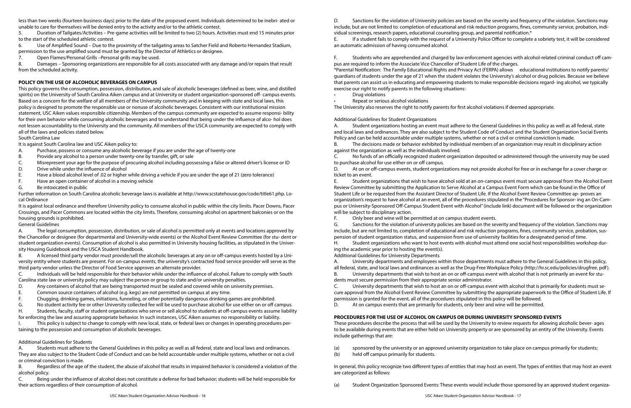less than two weeks (fourteen business days) prior to the date of the proposed event. Individuals determined to be inebri- ated or unable to care for themselves will be denied entry to the activity and/or to the athletic contest.

5. Duration of Tailgates/Activities – Pre-game activities will be limited to two (2) hours. Activities must end 15 minutes prior to the start of the scheduled athletic contest.

6. Use of Amplified Sound – Due to the proximity of the tailgating areas to Satcher Field and Roberto Hernandez Stadium, permission to the use amplified sound must be granted by the Director of Athletics or designee.

7. Open Flames/Personal Grills –Personal grills may be used.

8. Damages – Sponsoring organizations are responsible for all costs associated with any damage and/or repairs that result from the scheduled activity.

#### **POLICY ON THE USE OF ALCOHOLIC BEVERAGES ON CAMPUS**

This policy governs the consumption, possession, distribution, and sale of alcoholic beverages (defined as beer, wine, and distilled spirits) on the University of South Carolina Aiken campus and at University or student organization-sponsored off- campus events. Based on a concern for the welfare of all members of the University community and in keeping with state and local laws, this policy is designed to promote the responsible use or nonuse of alcoholic beverages. Consistent with our institutional mission statement, USC Aiken values responsible citizenship. Members of the campus community are expected to assume responsi- bility for their own behavior while consuming alcoholic beverages and to understand that being under the influence of alco- hol does not lessen accountability to the University and the community. All members of the USCA community are expected to comply with all of the laws and policies stated below.

South Carolina Law

It is against South Carolina law and USC Aiken policy to:

- A. Purchase, possess or consume any alcoholic beverage if you are under the age of twenty-one
- B. Provide any alcohol to a person under twenty-one by transfer, gift, or sale
- C. Misrepresent your age for the purpose of procuring alcohol including possessing a false or altered driver's license or ID
- D. Drive while under the influence of alcohol
- E. Have a blood alcohol level of .02 or higher while driving a vehicle if you are under the age of 21 (zero tolerance)
- F. Have an open container of alcohol in a moving vehicle
- G. Be intoxicated in public

This policy is subject to change to comply with new local, state, or federal laws or changes in operating procedures pertaining to the possession and consumption of alcoholic beverages.

Further information on South Carolina alcoholic beverage laws is available at http://www.scstatehouse.gov/code/title61.php. Local Ordinance

It is against local ordinance and therefore University policy to consume alcohol in public within the city limits. Pacer Downs, Pacer Crossings, and Pacer Commons are located within the city limits. Therefore, consuming alcohol on apartment balconies or on the housing grounds is prohibited.

General Guidelines

A. The legal consumption, possession, distribution, or sale of alcohol is permitted only at events and locations approved by the Chancellor or designee (for departmental and University-wide events) or the Alcohol Event Review Committee (for stu- dent or student organization events). Consumption of alcohol is also permitted in University housing facilities, as stipulated in the University Housing Guidebook and the USCA Student Handbook.

B. A licensed third party vendor must provide/sell the alcoholic beverages at any on or off-campus events hosted by a University entity where students are present. For on-campus events, the university's contracted food service provider will serve as the third party vendor unless the Director of Food Service approves an alternate provider.

C. Individuals will be held responsible for their behavior while under the influence of alcohol. Failure to comply with South Carolina state law or university policy may subject the person or group to state and/or university penalties.

- D. Any containers of alcohol that are being transported must be sealed and covered while on university premises.
- E. Common source containers of alcohol (e.g. kegs) are not permitted on campus at any time.
- F. Chugging, drinking games, initiations, funneling, or other potentially dangerous drinking games are prohibited.
- G. No student activity fee or other University collected fee will be used to purchase alcohol for use either on or off campus.

H. Students, faculty, staff or student organizations who serve or sell alcohol to students at off-campus events assume liability for enforcing the law and assuring appropriate behavior. In such instances, USC Aiken assumes no responsibility or liability.

#### Additional Guidelines for Students

A. Students must adhere to the General Guidelines in this policy as well as all federal, state and local laws and ordinances. They are also subject to the Student Code of Conduct and can be held accountable under multiple systems, whether or not a civil or criminal conviction is made.

B. Regardless of the age of the student, the abuse of alcohol that results in impaired behavior is considered a violation of the alcohol policy.

C. Being under the influence of alcohol does not constitute a defense for bad behavior; students will be held responsible for their actions regardless of their consumption of alcohol.

D. Sanctions for the violation of University policies are based on the severity and frequency of the violation. Sanctions may include, but are not limited to: completion of educational and risk reduction programs, fines, community service, probation, individual screenings, research papers, educational counseling group, and parental notification.\*

E. If a student fails to comply with the request of a University Police Officer to complete a sobriety test, it will be considered an automatic admission of having consumed alcohol.

F. Students who are apprehended and charged by law enforcement agencies with alcohol-related criminal conduct off campus are required to inform the Associate Vice Chancellor of Student Life of the charges. \*Parental Notification: The Family Educational Rights and Privacy Act (FERPA) allows educational institutions to notify parents/ guardians of students under the age of 21 when the student violates the University's alcohol or drug policies. Because we believe that parents can assist us in educating and empowering students to make responsible decisions regard- ing alcohol, we typically exercise our right to notify parents in the following situations:

- Drug violations
- Repeat or serious alcohol violations

The University also reserves the right to notify parents for first alcohol violations if deemed appropriate.

Additional Guidelines for Student Organizations

A. Student organizations hosting an event must adhere to the General Guidelines in this policy as well as all federal, state and local laws and ordinances. They are also subject to the Student Code of Conduct and the Student Organization Social Events Policy and can be held accountable under multiple systems, whether or not a civil or criminal conviction is made. B. The decisions made or behavior exhibited by individual members of an organization may result in disciplinary action

against the organization as well as the individuals involved.

C. No funds of an officially recognized student organization deposited or administered through the university may be used to purchase alcohol for use either on or off campus.

D. At on or off-campus events, student organizations may not provide alcohol for free or in exchange for a cover charge or ticket to an event.

E. Student organizations that wish to have alcohol sold at an on-campus event must secure approval from the Alcohol Event Review Committee by submitting the Application to Serve Alcohol at a Campus Event Form which can be found in the Office of Student Life or be requested from the Assistant Director of Student Life. If the Alcohol Event Review Committee ap- proves an organization's request to have alcohol at an event, all of the procedures stipulated in the "Procedures for Sponsor- ing an On-Campus or University-Sponsored Off-Campus Student Event with Alcohol" (include link) document will be followed or the organization will be subject to disciplinary action.

F. Only beer and wine will be permitted at on campus student events. G. Sanctions for the violation of university policies are based on the severity and frequency of the violation. Sanctions may include, but are not limited to, completion of educational and risk reduction programs, fines, community service, probation, suspension of student organization status, and suspension from use of university facilities for a designated period of time. H. Student organizations who want to host events with alcohol must attend one social host responsibilities workshop dur-

ing the academic year prior to hosting the event(s). Additional Guidelines for University Departments

A. University departments and employees within those departments must adhere to the General Guidelines in this policy, all federal, state, and local laws and ordinances as well as the Drug-Free Workplace Policy (http://hr.sc.edu/policies/drugfree. pdf). B. University departments that wish to host an on or off-campus event with alcohol that is not primarily an event for students must secure permission from their appropriate senior administrator.

C. University departments that wish to host an on or off-campus event with alcohol that is primarily for students must secure approval from the Alcohol Event Review Committee by submitting the appropriate paperwork to the Office of Student Life. If permission is granted for the event, all of the procedures stipulated in this policy will be followed. D. At on campus events that are primarily for students, only beer and wine will be permitted.

## **PROCEDURES FOR THE USE OF ALCOHOL ON CAMPUS OR DURING UNIVERSITY SPONSORED EVENTS**

These procedures describe the process that will be used by the University to review requests for allowing alcoholic bever- ages to be available during events that are either held on University property or are sponsored by an entity of the University. Events include gatherings that are:

(a) sponsored by the university or an approved university organization to take place on campus primarily for students;

- 
- (b) held off campus primarily for students.

In general, this policy recognize two different types of entities that may host an event. The types of entities that may host an event are categorized as follows:

(a) Student Organization Sponsored Events: These events would include those sponsored by an approved student organiza-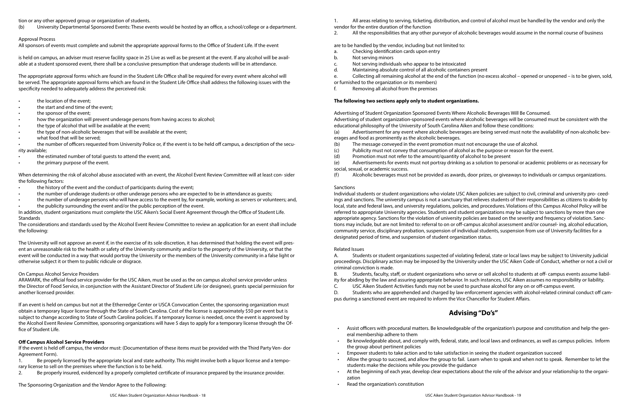tion or any other approved group or organization of students.

(b) University Departmental Sponsored Events: These events would be hosted by an office, a school/college or a department.

#### Approval Process

All sponsors of events must complete and submit the appropriate approval forms to the Office of Student Life. If the event

is held on campus, an adviser must reserve facility space in 25 Live as well as be present at the event. If any alcohol will be available at a student sponsored event, there shall be a conclusive presumption that underage students will be in attendance.

The appropriate approval forms which are found in the Student Life Office shall be required for every event where alcohol will be served. The appropriate approval forms which are found in the Student Life Office shall address the following issues with the specificity needed to adequately address the perceived risk:

- the location of the event:
- the start and end time of the event;
- the sponsor of the event;
- how the organization will prevent underage persons from having access to alcohol;
- the type of alcohol that will be available at the event;
- the type of non-alcoholic beverages that will be available at the event;
- what food that will be served;

- the history of the event and the conduct of participants during the event;
- the number of underage students or other underage persons who are expected to be in attendance as guests;
- the number of underage persons who will have access to the event by, for example, working as servers or volunteers; and,
- the publicity surrounding the event and/or the public perception of the event.

• the number of officers requested from University Police or, if the event is to be held off campus, a description of the security available;

- the estimated number of total quests to attend the event; and,
- the primary purpose of the event.

When determining the risk of alcohol abuse associated with an event, the Alcohol Event Review Committee will at least con- sider the following factors:

In addition, student organizations must complete the USC Aiken's Social Event Agreement through the Office of Student Life. Standards

The considerations and standards used by the Alcohol Event Review Committee to review an application for an event shall include the following:

The University will not approve an event if, in the exercise of its sole discretion, it has determined that holding the event will present an unreasonable risk to the health or safety of the University community and/or to the property of the University, or that the event will be conducted in a way that would portray the University or the members of the University community in a false light or otherwise subject it or them to public ridicule or disgrace.

#### On Campus Alcohol Service Providers

ARAMARK, the official food service provider for the USC Aiken, must be used as the on campus alcohol service provider unless the Director of Food Service, in conjunction with the Assistant Director of Student Life (or designee), grants special permission for another licensed provider.

If an event is held on campus but not at the Etherredge Center or USCA Convocation Center, the sponsoring organization must obtain a temporary liquor license through the State of South Carolina. Cost of the license is approximately \$50 per event but is subject to change according to State of South Carolina policies. If a temporary license is needed, once the event is approved by the Alcohol Event Review Committee, sponsoring organizations will have 5 days to apply for a temporary license through the Office of Student Life.

#### **Off Campus Alcohol Service Providers**

If the event is held off campus, the vendor must: (Documentation of these items must be provided with the Third Party Ven- dor Agreement Form).

1. Be properly licensed by the appropriate local and state authority. This might involve both a liquor license and a temporary license to sell on the premises where the function is to be held.

2. Be properly insured, evidenced by a properly completed certificate of insurance prepared by the insurance provider.

The Sponsoring Organization and the Vendor Agree to the Following:

1. All areas relating to serving, ticketing, distribution, and control of alcohol must be handled by the vendor and only the vendor for the entire duration of the function

2. All the responsibilities that any other purveyor of alcoholic beverages would assume in the normal course of business

are to be handled by the vendor, including but not limited to:

- a. Checking identification cards upon entry
- b. Not serving minors
- c. Not serving individuals who appear to be intoxicated
- d. Maintaining absolute control of all alcoholic containers present

or furnished to the organization or its members)

f. Removing all alcohol from the premises

### **The following two sections apply only to student organizations.**

Advertising of Student Organization Sponsored Events Where Alcoholic Beverages Will Be Consumed. educational philosophy of the University of South Carolina Aiken and follow these conditions:

- e. Collecting all remaining alcohol at the end of the function (no excess alcohol opened or unopened is to be given, sold,
	-
- Advertising of student organization-sponsored events where alcoholic beverages will be consumed must be consistent with the
- (a) Advertisement for any event where alcoholic beverages are being served must note the availability of non-alcoholic bev-
	-
	-
	-
- (e) Advertisements for events must not portray drinking as a solution to personal or academic problems or as necessary for

erages and food as prominently as the alcoholic beverages.

(b) The message conveyed in the event promotion must not encourage the use of alcohol.

(c) Publicity must not convey that consumption of alcohol as the purpose or reason for the event.

(d) Promotion must not refer to the amount/quantity of alcohol to be present social, sexual, or academic success.

(f) Alcoholic beverages must not be provided as awards, door prizes, or giveaways to individuals or campus organizations.

#### Sanctions

Individual students or student organizations who violate USC Aiken policies are subject to civil, criminal and university pro- ceedings and sanctions. The university campus is not a sanctuary that relieves students of their responsibilities as citizens to abide by local, state and federal laws, and university regulations, policies, and procedures. Violations of this Campus Alcohol Policy will be referred to appropriate University agencies. Students and student organizations may be subject to sanctions by more than one appropriate agency. Sanctions for the violation of university policies are based on the severity and frequency of violation. Sanctions may include, but are not limited to: referral to on or off-campus alcohol assessment and/or counsel- ing, alcohol education, community service, disciplinary probation, suspension of individual students, suspension from use of University facilities for a designated period of time, and suspension of student organization status.

#### Related Issues

A. Students or student organizations suspected of violating federal, state or local laws may be subject to University judicial proceedings. Disciplinary action may be imposed by the University under the USC Aiken Code of Conduct, whether or not a civil or criminal conviction is made.

B. Students, faculty, staff, or student organizations who serve or sell alcohol to students at off- campus events assume liability for abiding by the law and assuring appropriate behavior. In such instances, USC Aiken assumes no responsibility or liability. C. USC Aiken Student Activities funds may not be used to purchase alcohol for any on or off-campus event.

D. Students who are apprehended and charged by law enforcement agencies with alcohol-related criminal conduct off campus during a sanctioned event are required to inform the Vice Chancellor for Student Affairs.

# **Advising "Do's"**

• Assist officers with procedural matters. Be knowledgeable of the organization's purpose and constitution and help the gen-

• Be knowledgeable about, and comply with, federal, state, and local laws and ordinances, as well as campus policies. Inform

- eral membership adhere to them
- the group about pertinent policies
- Empower students to take action and to take satisfaction in seeing the student organization succeed
- Allow the group to succeed, and allow the group to fail. Learn when to speak and when not to speak. Remember to let the students make the decisions while you provide the guidance
- At the beginning of each year, develop clear expectations about the role of the advisor and your relationship to the organization
- Read the organization's constitution